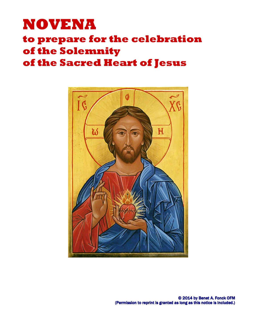# NOVENA

# to prepare for the celebration of the Solemnity

# of the Sacred Heart of Jesus

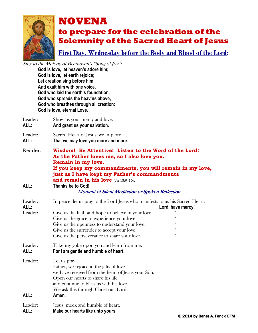

First Day, Wednesday before the Body and Blood of the Lord:

Sing to the Melody of Beethoven's "Song of Joy":

God is love, let heaven's adore him; God is love, let earth rejoice; Let creation sing before him And exalt him with one voice. God who laid the earth's foundation, God who spreads the heav'ns above, God who breathes through all creation: God is love, eternal Love.

| Leader:<br>Show us your mercy and love.<br>And grant us your salvation.<br>ALL: |                                    |
|---------------------------------------------------------------------------------|------------------------------------|
| Leader:                                                                         | Sacred Heart of Jesus, we implore, |

ALL: That we may love you more and more.

- Reader: Wisdom! Be Attentive! Listen to the Word of the Lord! As the Father loves me, so I also love you. Remain in my love. If you keep my commandments, you will remain in my love, just as I have kept my Father's commandments and remain in his love (Jn 15:9-10).
- ALL: Thanks be to God!

| Leader:<br>ALL: | In peace, let us pray to the Lord Jesus who manifests to us his Sacred Heart:                                                                                                                                                                  | Lord, have mercy! |
|-----------------|------------------------------------------------------------------------------------------------------------------------------------------------------------------------------------------------------------------------------------------------|-------------------|
| Leader:         | Give us the faith and hope to believe in your love.                                                                                                                                                                                            |                   |
|                 | Give us the grace to experience your love.                                                                                                                                                                                                     | 66                |
|                 | Give us the openness to understand your love.                                                                                                                                                                                                  | 66                |
|                 | Give us the surrender to accept your love.                                                                                                                                                                                                     | 66                |
|                 | Give us the perseverance to share your love.                                                                                                                                                                                                   | 66                |
| Leader:<br>ALL: | Take my yoke upon you and learn from me.<br>For I am gentle and humble of heart.                                                                                                                                                               |                   |
| Leader:<br>ALL: | Let us pray:<br>Father, we rejoice in the gifts of love<br>we have received from the heart of Jesus your Son.<br>Open our hearts to share his life<br>and continue to bless us with his love.<br>We ask this through Christ our Lord.<br>Amen. |                   |
| Leader:         | Jesus, meek and humble of heart,                                                                                                                                                                                                               |                   |
| ALL:            | Make our hearts like unto yours.                                                                                                                                                                                                               |                   |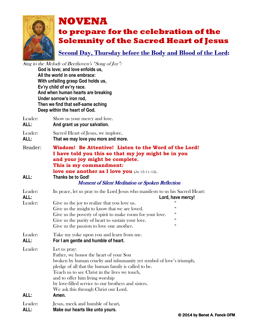

Second Day, Thursday before the Body and Blood of the Lord:

Sing to the Melody of Beethoven's "Song of Joy":

God is love; and love enfolds us, All the world in one embrace: With unfailing grasp God holds us, Ev'ry child of ev'ry race. And when human hearts are breaking Under sorrow's iron rod, Then we find that self-same aching Deep within the heart of God.

Leader: Show us your mercy and love. ALL: And grant us your salvation.

Leader: Sacred Heart of Jesus, we implore, ALL: That we may love you more and more.

Reader: Wisdom! Be Attentive! Listen to the Word of the Lord! I have told you this so that my joy might be in you and your joy might be complete. This is my commandment: love one another as I love you (Jn 15:11-12). ALL: Thanks be to God!

### Moment of Silent Meditation or Spoken Reflection

| Leader: | In peace, let us pray to the Lord Jesus who manifests to us his Sacred Heart: |                   |  |
|---------|-------------------------------------------------------------------------------|-------------------|--|
| ALL:    |                                                                               | Lord, have mercy! |  |
| Leader: | Give us the joy to realize that you love us.                                  |                   |  |
|         | Give us the insight to know that we are loved.                                | "                 |  |
|         | Give us the poverty of spirit to make room for your love.                     | $\zeta\zeta$      |  |
|         | Give us the purity of heart to sustain your love.                             | $\zeta\zeta$      |  |
|         | Give us the passion to love one another.                                      | "                 |  |
| Leader: | Take my yoke upon you and learn from me.                                      |                   |  |
| ALL:    | For I am gentle and humble of heart.                                          |                   |  |
| Leader: | Let us pray:                                                                  |                   |  |
|         | Father, we honor the heart of your Son                                        |                   |  |
|         | broken by human cruelty and inhumanity yet symbol of love's triumph,          |                   |  |
|         | pledge of all that the human family is called to be.                          |                   |  |
|         | Teach us to see Christ in the lives we touch,                                 |                   |  |
|         | and to offer him living worship                                               |                   |  |
|         | by love-filled service to our brothers and sisters.                           |                   |  |
|         | We ask this through Christ our Lord.                                          |                   |  |
| ALL:    | Amen.                                                                         |                   |  |
| Leader: | Jesus, meek and humble of heart,                                              |                   |  |
|         |                                                                               |                   |  |

ALL: Make our hearts like unto yours.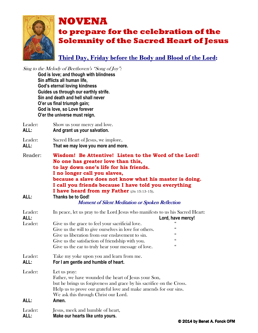

## Third Day, Friday before the Body and Blood of the Lord:

Sing to the Melody of Beethoven's "Song of Joy": God is love; and though with blindness Sin afflicts all human life, God's eternal loving kindness Guides us through our earthly strife. Sin and death and hell shall never O'er us final triumph gain; God is love, so Love forever O'er the universe must reign.

- Leader: Show us your mercy and love. ALL: And grant us your salvation.
- Leader: Sacred Heart of Jesus, we implore, ALL: That we may love you more and more.
- Reader: Wisdom! Be Attentive! Listen to the Word of the Lord! No one has greater love than this, to lay down one's life for his friends. I no longer call you slaves, because a slave does not know what his master is doing. I call you friends because I have told you everything I have heard from my Father (Jn 15:13-15).
- ALL: Thanks be to God!

| Leader:<br>ALL:<br>Leader: | In peace, let us pray to the Lord Jesus who manifests to us his Sacred Heart:<br>Give us the grace to feel your sacrificial love.<br>Give us the will to give ourselves in love for others.<br>Give us liberation from our enslavement to sin.<br>Give us the satisfaction of friendship with you.<br>Give us the ear to truly hear your message of love. | Lord, have mercy!<br>$\epsilon$<br>"<br>66<br>$\epsilon$ |
|----------------------------|-----------------------------------------------------------------------------------------------------------------------------------------------------------------------------------------------------------------------------------------------------------------------------------------------------------------------------------------------------------|----------------------------------------------------------|
| Leader:<br>ALL:            | Take my yoke upon you and learn from me.<br>For I am gentle and humble of heart.                                                                                                                                                                                                                                                                          |                                                          |
| Leader:<br>ALL:            | Let us pray:<br>Father, we have wounded the heart of Jesus your Son,<br>but he brings us forgiveness and grace by his sacrifice on the Cross.<br>Help us to prove our grateful love and make amends for our sins.<br>We ask this through Christ our Lord.<br>Amen.                                                                                        |                                                          |
| Leader:<br>ALL:            | Jesus, meek and humble of heart,<br>Make our hearts like unto yours.                                                                                                                                                                                                                                                                                      |                                                          |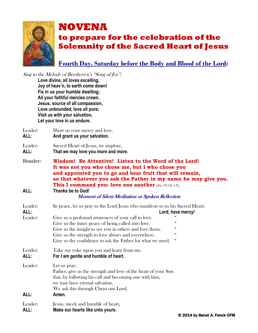

Fourth Day, Saturday before the Body and Blood of the Lord:

Sing to the Melody of Beethoven's "Song of Joy":

Love divine, all loves excelling, Joy of heav'n, to earth come down! Fix in us your humble dwelling; All your faithful mercies crown. Jesus, source of all compassion, Love unbounded, love all pure; Visit us with your salvation, Let your love in us endure.

Leader: Show us your mercy and love. ALL: And grant us your salvation.

# Leader: Sacred Heart of Jesus, we implore,

- ALL: That we may love you more and more.
- Reader: Wisdom! Be Attentive! Listen to the Word of the Lord! It was not you who chose me, but I who chose you and appointed you to go and bear fruit that will remain, so that whatever you ask the Father in my name he may give you. This I command you: love one another (Jn 15:16-17). ALL: Thanks be to God!

| Leader:<br>ALL: | In peace, let us pray to the Lord Jesus who manifests to us his Sacred Heart:<br>Lord, have mercy!                                                                                                                          |  |
|-----------------|-----------------------------------------------------------------------------------------------------------------------------------------------------------------------------------------------------------------------------|--|
| Leader:         | Give us a profound awareness of your call to love.                                                                                                                                                                          |  |
|                 | $\zeta\zeta$<br>Give us the inner peace of being called into love.                                                                                                                                                          |  |
|                 | $\zeta\zeta$<br>Give us the insight to see you in others and love them.                                                                                                                                                     |  |
|                 | 66<br>Give us the strength to love always and everywhere.                                                                                                                                                                   |  |
|                 | 66<br>Give us the confidence to ask the Father for what we need.                                                                                                                                                            |  |
| Leader:<br>ALL: | Take my yoke upon you and learn from me.<br>For I am gentle and humble of heart.                                                                                                                                            |  |
| Leader:<br>ALL: | Let us pray:<br>Father, give us the strength and love of the heart of your Son<br>that, by following his call and becoming one with him,<br>we may have eternal salvation.<br>We ask this through Christ our Lord.<br>Amen. |  |
| Leader:<br>ALL: | Jesus, meek and humble of heart,<br>Make our hearts like unto yours.                                                                                                                                                        |  |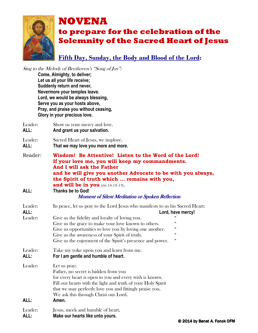

## Fifth Day, Sunday, the Body and Blood of the Lord:

Sing to the Melody of Beethoven's "Song of Joy": Come, Almighty, to deliver; Let us all your life receive; Suddenly return and never, Nevermore your temples leave. Lord, we would be always blessing, Serve you as your hosts above, Pray, and praise you without ceasing, Glory in your precious love.

Leader: Show us your mercy and love. ALL: And grant us your salvation.

| ALL:    | That we may love you more and more. |
|---------|-------------------------------------|
| Leader: | Sacred Heart of Jesus, we implore,  |

- Reader: Wisdom! Be Attentive! Listen to the Word of the Lord! If your love me, you will keep my commandments. And I will ask the Father and he will give you another Advocate to be with you always, the Spirit of truth which ... remains with you, and will be in you (Jn 14:15-17).
- ALL: Thanks be to God! Moment of Silent Meditation or Spoken Reflection

| Leader:<br>ALL: | In peace, let us pray to the Lord Jesus who manifests to us his Sacred Heart:                                                                                                                                                                                                                | Lord, have mercy! |
|-----------------|----------------------------------------------------------------------------------------------------------------------------------------------------------------------------------------------------------------------------------------------------------------------------------------------|-------------------|
| Leader:         | Give us the fidelity and loyalty of loving you.                                                                                                                                                                                                                                              |                   |
|                 | Give us the grace to make your love known to others.                                                                                                                                                                                                                                         | "                 |
|                 | Give us opportunities to love you by loving one another.                                                                                                                                                                                                                                     | "                 |
|                 | Give us the awareness of your Spirit of truth.                                                                                                                                                                                                                                               | $\epsilon$        |
|                 | Give us the enjoyment of the Spirit's presence and power.                                                                                                                                                                                                                                    | "                 |
| Leader:<br>ALL: | Take my yoke upon you and learn from me.<br>For I am gentle and humble of heart.                                                                                                                                                                                                             |                   |
| Leader:<br>ALL: | Let us pray:<br>Father, no secret is hidden from you<br>for every heart is open to you and every wish is known.<br>Fill our hearts with the light and truth of your Holy Spirit<br>that we may perfectly love you and fittingly praise you.<br>We ask this through Christ our Lord.<br>Amen. |                   |
| Leader:         | Jesus, meek and humble of heart,                                                                                                                                                                                                                                                             |                   |
| ALL:            | Make our hearts like unto yours.                                                                                                                                                                                                                                                             |                   |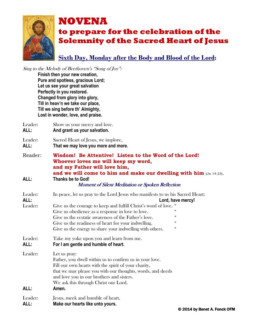

## Sixth Day, Monday after the Body and Blood of the Lord:

Sing to the Melody of Beethoven's "Song of Joy":

Finish then your new creation, Pure and spotless, gracious Lord; Let us see your great salvation Perfectly in you restored. Changed from glory into glory, Till in heav'n we take our place, Till we sing before th' Almighty, Lost in wonder, love, and praise.

Leader: Show us your mercy and love. ALL: And grant us your salvation.

| ALL:    | That we may love you more and more. |
|---------|-------------------------------------|
| Leader: | Sacred Heart of Jesus, we implore,  |

Reader: Wisdom! Be Attentive! Listen to the Word of the Lord! Whoever loves me will keep my word, and my Father will love him,

**and we will come to him and make our dwelling with him** (Jn 14:23).<br>ALL: Thanks be to God! Thanks be to God! Moment of Silent Meditation or Spoken Reflection

## Leader: In peace, let us pray to the Lord Jesus who manifests to us his Sacred Heart: ALL: Lord, have mercy! Leader: Give us the courage to keep and fulfill Christ's word of love. " Give us obedience as a response in love to love.  $\ddot{\hspace{1cm}}$ Give us the ecstatic awareness of the Father's love. Give us the readiness of heart for your indwelling.  $\frac{a}{b}$ Give us the energy to share your indwelling with others. Leader: Take my yoke upon you and learn from me. ALL: For I am gentle and humble of heart. Leader: Let us pray: Father, you dwell within us to confirm us in your love. Fill our own hearts with the spirit of your charity, that we may please you with our thoughts, words, and deeds and love you in our brothers and sisters. We ask this through Christ our Lord. ALL: Amen. Leader: **Jesus**, meek and humble of heart,

ALL: Make our hearts like unto yours.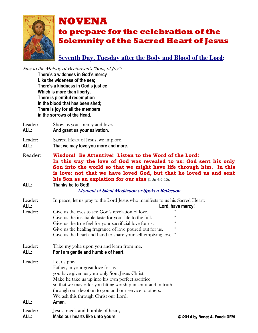

## Seventh Day, Tuesday after the Body and Blood of the Lord:

Sing to the Melody of Beethoven's "Song of Joy":

There's a wideness in God's mercy Like the wideness of the sea; There's a kindness in God's justice Which is more than liberty. There is plentiful redemption In the blood that has been shed; There is joy for all the members in the sorrows of the Head.

- Leader: Show us your mercy and love.
- ALL: And grant us your salvation.

Leader: Sacred Heart of Jesus, we implore, ALL: That we may love you more and more.

Reader: Wisdom! Be Attentive! Listen to the Word of the Lord! In this way the love of God was revealed to us: God sent his only Son into the world so that we might have life through him. In this is love: not that we have loved God, but that he loved us and sent his Son as an expiation for our sins (1 Jn 4:9-10). ALL: Thanks be to God!

| Leader:<br>ALL: | In peace, let us pray to the Lord Jesus who manifests to us his Sacred Heart: | Lord, have mercy!            |
|-----------------|-------------------------------------------------------------------------------|------------------------------|
| Leader:         | Give us the eyes to see God's revelation of love.                             |                              |
|                 | Give us the insatiable taste for your life to the full.                       | "                            |
|                 | Give us the true feel for your sacrificial love for us.                       |                              |
|                 | Give us the healing fragrance of love poured out for us.                      | "                            |
|                 | Give us the heart and hand to share your self-emptying love. "                |                              |
| Leader:         | Take my yoke upon you and learn from me.                                      |                              |
| ALL:            | For I am gentle and humble of heart.                                          |                              |
| Leader:         | Let us pray:                                                                  |                              |
|                 | Father, in your great love for us                                             |                              |
|                 | you have given us your only Son, Jesus Christ.                                |                              |
|                 | Make he take us up into his own perfect sacrifice                             |                              |
|                 | so that we may offer you fitting worship in spirit and in truth               |                              |
|                 | through our devotion to you and our service to others.                        |                              |
|                 | We ask this through Christ our Lord.                                          |                              |
| ALL:            | Amen.                                                                         |                              |
| Leader:         | Jesus, meek and humble of heart,                                              |                              |
| ALL:            | Make our hearts like unto yours.                                              | © 2014 by Benet A. Fonck OFM |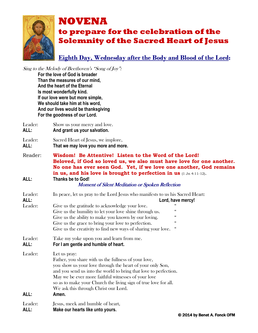

## Eighth Day, Wednesday after the Body and Blood of the Lord:

Sing to the Melody of Beethoven's "Song of Joy":

For the love of God is broader Than the measures of our mind, And the heart of the Eternal Is most wonderfully kind. If our love were but more simple, We should take him at his word, And our lives would be thanksgiving For the goodness of our Lord.

Leader: Show us your mercy and love. ALL: And grant us your salvation.

Leader: Sacred Heart of Jesus, we implore, ALL: That we may love you more and more.

Reader: Wisdom! Be Attentive! Listen to the Word of the Lord! Beloved, if God so loved us, we also must have love for one another. No one has ever seen God. Yet, if we love one another, God remains in us, and his love is brought to perfection in us (1 Jn 4:11-12). ALL: Thanks be to God!

#### Moment of Silent Meditation or Spoken Reflection

|                                                                                                                                                                                                                                                                                                                                                                                  | Lord, have mercy!                                                                                                                                                                                     |
|----------------------------------------------------------------------------------------------------------------------------------------------------------------------------------------------------------------------------------------------------------------------------------------------------------------------------------------------------------------------------------|-------------------------------------------------------------------------------------------------------------------------------------------------------------------------------------------------------|
| Give us the gratitude to acknowledge your love.                                                                                                                                                                                                                                                                                                                                  |                                                                                                                                                                                                       |
| Give us the humility to let your love shine through us.                                                                                                                                                                                                                                                                                                                          | $\epsilon$                                                                                                                                                                                            |
| Give us the ability to make you known by our loving.                                                                                                                                                                                                                                                                                                                             | 66                                                                                                                                                                                                    |
|                                                                                                                                                                                                                                                                                                                                                                                  | 66                                                                                                                                                                                                    |
|                                                                                                                                                                                                                                                                                                                                                                                  | "                                                                                                                                                                                                     |
| Take my yoke upon you and learn from me.<br>For I am gentle and humble of heart.                                                                                                                                                                                                                                                                                                 |                                                                                                                                                                                                       |
| Let us pray:<br>Father, you share with us the fullness of your love,<br>you show us your love through the heart of your only Son,<br>and you send us into the world to bring that love to perfection.<br>May we be ever more faithful witnesses of your love<br>so as to make your Church the living sign of true love for all.<br>We ask this through Christ our Lord.<br>Amen. |                                                                                                                                                                                                       |
| Jesus, meek and humble of heart,                                                                                                                                                                                                                                                                                                                                                 |                                                                                                                                                                                                       |
|                                                                                                                                                                                                                                                                                                                                                                                  | In peace, let us pray to the Lord Jesus who manifests to us his Sacred Heart:<br>Give us the grace to bring your love to perfection.<br>Give us the creativity to find new ways of sharing your love. |

ALL: Make our hearts like unto yours.